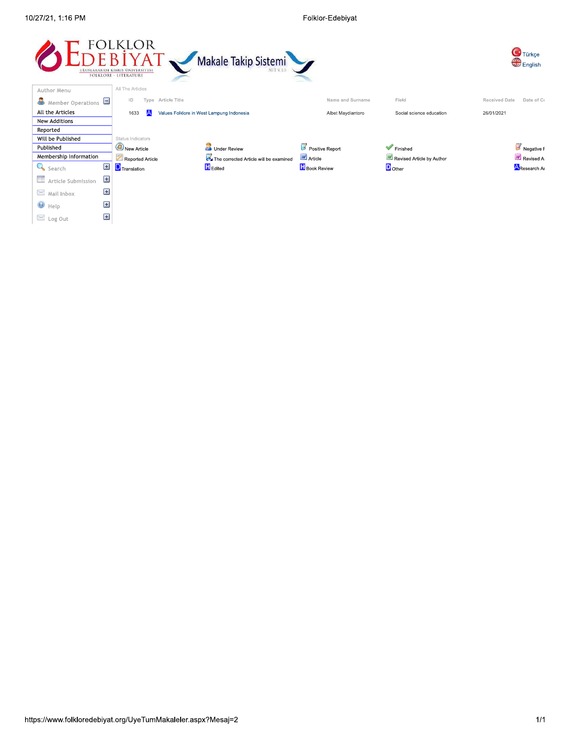Folklor-Edebiyat

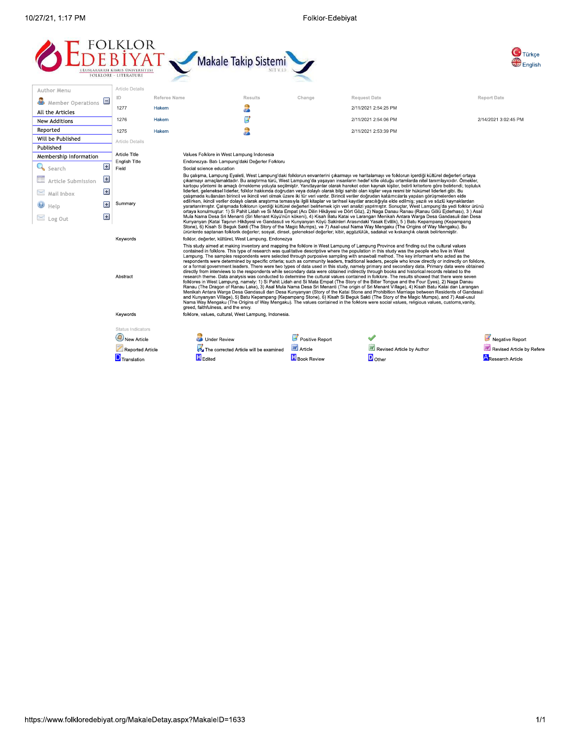Folklor-Edebiyat





| Author Menu                  |   | <b>Article Details</b>                |              |                                                                                             |                                                                                                                                                                                                                                                                                                                                                                                                                                                                                                                                                                                                                                                                                                                                                                                                                                                                                                                                               |        |                                                                                                                                                                                                                                                                                                                                                                                                                                                                                                                                                                                                                                                                                                                                                                                                                                                                                                                                                                                                                                                                                                                                                                                                                                                                                                                                                                                                                                                                                                                                                                                                                                                                                                                                                                   |                      |  |  |
|------------------------------|---|---------------------------------------|--------------|---------------------------------------------------------------------------------------------|-----------------------------------------------------------------------------------------------------------------------------------------------------------------------------------------------------------------------------------------------------------------------------------------------------------------------------------------------------------------------------------------------------------------------------------------------------------------------------------------------------------------------------------------------------------------------------------------------------------------------------------------------------------------------------------------------------------------------------------------------------------------------------------------------------------------------------------------------------------------------------------------------------------------------------------------------|--------|-------------------------------------------------------------------------------------------------------------------------------------------------------------------------------------------------------------------------------------------------------------------------------------------------------------------------------------------------------------------------------------------------------------------------------------------------------------------------------------------------------------------------------------------------------------------------------------------------------------------------------------------------------------------------------------------------------------------------------------------------------------------------------------------------------------------------------------------------------------------------------------------------------------------------------------------------------------------------------------------------------------------------------------------------------------------------------------------------------------------------------------------------------------------------------------------------------------------------------------------------------------------------------------------------------------------------------------------------------------------------------------------------------------------------------------------------------------------------------------------------------------------------------------------------------------------------------------------------------------------------------------------------------------------------------------------------------------------------------------------------------------------|----------------------|--|--|
| Member Operations $\Box$     |   | ID                                    | Referee Name |                                                                                             | <b>Results</b>                                                                                                                                                                                                                                                                                                                                                                                                                                                                                                                                                                                                                                                                                                                                                                                                                                                                                                                                | Change | <b>Request Date</b>                                                                                                                                                                                                                                                                                                                                                                                                                                                                                                                                                                                                                                                                                                                                                                                                                                                                                                                                                                                                                                                                                                                                                                                                                                                                                                                                                                                                                                                                                                                                                                                                                                                                                                                                               | <b>Report Date</b>   |  |  |
| All the Articles             |   | 1277                                  | Hakem        |                                                                                             | a.                                                                                                                                                                                                                                                                                                                                                                                                                                                                                                                                                                                                                                                                                                                                                                                                                                                                                                                                            |        | 2/11/2021 2:54:25 PM                                                                                                                                                                                                                                                                                                                                                                                                                                                                                                                                                                                                                                                                                                                                                                                                                                                                                                                                                                                                                                                                                                                                                                                                                                                                                                                                                                                                                                                                                                                                                                                                                                                                                                                                              |                      |  |  |
| New Additions                |   | 1276                                  | Hakem        |                                                                                             | В                                                                                                                                                                                                                                                                                                                                                                                                                                                                                                                                                                                                                                                                                                                                                                                                                                                                                                                                             |        | 2/11/2021 2:54:06 PM                                                                                                                                                                                                                                                                                                                                                                                                                                                                                                                                                                                                                                                                                                                                                                                                                                                                                                                                                                                                                                                                                                                                                                                                                                                                                                                                                                                                                                                                                                                                                                                                                                                                                                                                              | 2/14/2021 3:02:45 PM |  |  |
| Reported                     |   | 1275                                  | Hakem        |                                                                                             |                                                                                                                                                                                                                                                                                                                                                                                                                                                                                                                                                                                                                                                                                                                                                                                                                                                                                                                                               |        | 2/11/2021 2:53:39 PM                                                                                                                                                                                                                                                                                                                                                                                                                                                                                                                                                                                                                                                                                                                                                                                                                                                                                                                                                                                                                                                                                                                                                                                                                                                                                                                                                                                                                                                                                                                                                                                                                                                                                                                                              |                      |  |  |
| Will be Published            |   | Article Details                       |              |                                                                                             |                                                                                                                                                                                                                                                                                                                                                                                                                                                                                                                                                                                                                                                                                                                                                                                                                                                                                                                                               |        |                                                                                                                                                                                                                                                                                                                                                                                                                                                                                                                                                                                                                                                                                                                                                                                                                                                                                                                                                                                                                                                                                                                                                                                                                                                                                                                                                                                                                                                                                                                                                                                                                                                                                                                                                                   |                      |  |  |
| Published                    |   |                                       |              |                                                                                             |                                                                                                                                                                                                                                                                                                                                                                                                                                                                                                                                                                                                                                                                                                                                                                                                                                                                                                                                               |        |                                                                                                                                                                                                                                                                                                                                                                                                                                                                                                                                                                                                                                                                                                                                                                                                                                                                                                                                                                                                                                                                                                                                                                                                                                                                                                                                                                                                                                                                                                                                                                                                                                                                                                                                                                   |                      |  |  |
| Membership Information       |   | Article Title<br><b>English Title</b> |              | Values Folklore in West Lampung Indonesia<br>Endonezya- Batı Lampung'daki Değerler Folkloru |                                                                                                                                                                                                                                                                                                                                                                                                                                                                                                                                                                                                                                                                                                                                                                                                                                                                                                                                               |        |                                                                                                                                                                                                                                                                                                                                                                                                                                                                                                                                                                                                                                                                                                                                                                                                                                                                                                                                                                                                                                                                                                                                                                                                                                                                                                                                                                                                                                                                                                                                                                                                                                                                                                                                                                   |                      |  |  |
| Search                       | 国 | Field                                 |              | Social science education                                                                    |                                                                                                                                                                                                                                                                                                                                                                                                                                                                                                                                                                                                                                                                                                                                                                                                                                                                                                                                               |        |                                                                                                                                                                                                                                                                                                                                                                                                                                                                                                                                                                                                                                                                                                                                                                                                                                                                                                                                                                                                                                                                                                                                                                                                                                                                                                                                                                                                                                                                                                                                                                                                                                                                                                                                                                   |                      |  |  |
| $E\equiv$ Article Submission | 国 |                                       |              |                                                                                             |                                                                                                                                                                                                                                                                                                                                                                                                                                                                                                                                                                                                                                                                                                                                                                                                                                                                                                                                               |        | Bu çalışma, Lampung Eyaleti, West Lampung'daki folklorun envanterini çıkarmayı ve haritalamayı ve folklorun içerdiği kültürel değerleri ortaya<br>cıkarmayı amaclamaktadır. Bu arastırma türü, West Lampung'da yasayan insanların hedef kitle olduğu ortamlarda nitel tanımlayıcıdır. Örnekler,                                                                                                                                                                                                                                                                                                                                                                                                                                                                                                                                                                                                                                                                                                                                                                                                                                                                                                                                                                                                                                                                                                                                                                                                                                                                                                                                                                                                                                                                   |                      |  |  |
| $\mathbb{K}$ Mail Inbox      | Ξ |                                       |              |                                                                                             | kartopu yöntemi ile amaçlı örnekleme yoluyla seçilmiştir. Yanıtlayanlar olarak hareket eden kaynak kişiler, belirli kriterlere göre belirlendi; topluluk<br>liderleri, geleneksel liderler, folklor hakkında doğrudan veya dolaylı olarak bilgi sahibi olan kişiler veya resmi bir hükümet liderleri gibi. Bu<br>calışmada kullanılan birincil ve ikincil veri olmak üzere iki tür veri vardır. Birincil veriler doğrudan katılımcılarla yapılan görüşmelerden elde<br>edilirken, ikincil veriler dolaylı olarak araştırma temasıyla ilgili kitaplar ve tarihsel kayıtlar aracılığıyla elde edilmiş; yazılı ve sözlü kaynaklardan<br>yararlanılmıştır. Calışmada folklorun içerdiği kültürel değerleri belirlemek için veri analizi yapılmıştır. Sonuçlar, West Lampung'da yedi folklor ürünü<br>ortaya konulmustur: 1) Si Pahit Lidah ve Si Mata Empat (Acı Dilin Hikâyesi ve Dört Göz), 2) Naga Danau Ranau (Ranau Gölü Eiderhası), 3) Asal |        |                                                                                                                                                                                                                                                                                                                                                                                                                                                                                                                                                                                                                                                                                                                                                                                                                                                                                                                                                                                                                                                                                                                                                                                                                                                                                                                                                                                                                                                                                                                                                                                                                                                                                                                                                                   |                      |  |  |
| $\bullet$ Help               | E | Summary                               |              |                                                                                             |                                                                                                                                                                                                                                                                                                                                                                                                                                                                                                                                                                                                                                                                                                                                                                                                                                                                                                                                               |        |                                                                                                                                                                                                                                                                                                                                                                                                                                                                                                                                                                                                                                                                                                                                                                                                                                                                                                                                                                                                                                                                                                                                                                                                                                                                                                                                                                                                                                                                                                                                                                                                                                                                                                                                                                   |                      |  |  |
| $\geq$ Log Out               | Ξ |                                       |              |                                                                                             |                                                                                                                                                                                                                                                                                                                                                                                                                                                                                                                                                                                                                                                                                                                                                                                                                                                                                                                                               |        | Mula Nama Desa Sri Menanti (Sri Menant Köyü'nün kökeni), 4) Kisah Batu Katai ve Larangan Menikah Antara Warga Desa Gandasuli dan Desa<br>Kunyanyan (Katai Taşının Hikâyesi ve Gandasuli ve Kunyanyan Köyü Sakinleri Arasındaki Yasak Evlilik), 5 ) Batu Kepampang (Kepampang<br>Stone), 6) Kisah Si Beguk Sakti (The Story of the Magic Mumps), ve 7) Asal-usul Nama Way Mengaku (The Origins of Way Mengaku). Bu<br>ürünlerde saptanan folklorik değerler; sosyal, dinsel, geleneksel değerler; kibir, açgözlülük, sadakat ve kıskançlık olarak belirlenmiştir.                                                                                                                                                                                                                                                                                                                                                                                                                                                                                                                                                                                                                                                                                                                                                                                                                                                                                                                                                                                                                                                                                                                                                                                                  |                      |  |  |
|                              |   | Keywords                              |              | folklor, değerler, kültürel, West Lampung, Endonezya                                        |                                                                                                                                                                                                                                                                                                                                                                                                                                                                                                                                                                                                                                                                                                                                                                                                                                                                                                                                               |        |                                                                                                                                                                                                                                                                                                                                                                                                                                                                                                                                                                                                                                                                                                                                                                                                                                                                                                                                                                                                                                                                                                                                                                                                                                                                                                                                                                                                                                                                                                                                                                                                                                                                                                                                                                   |                      |  |  |
|                              |   | Abstract                              |              | greed, faithfulness, and the envy.                                                          |                                                                                                                                                                                                                                                                                                                                                                                                                                                                                                                                                                                                                                                                                                                                                                                                                                                                                                                                               |        | This study aimed at making inventory and mapping the folklore in West Lampung of Lampung Province and finding out the cultural values<br>contained in folklore. This type of research was qualitative descriptive where the population in this study was the people who live in West<br>Lampung. The samples respondents were selected through purposive sampling with snawball method. The key informant who acted as the<br>respondents were determined by specific criteria; such as community leaders, traditional leaders, people who know directly or indirectly on folklore,<br>or a formal government leaders. There were two types of data used in this study, namely primary and secondary data. Primary data were obtained<br>directly from interviews to the respondents while secondary data were obtained indirectly through books and historical records related to the<br>research theme. Data analysis was conducted to determine the cultural values contained in folklore. The results showed that there were seven<br>folklores in West Lampung, namely: 1) Si Pahit Lidah and Si Mata Empat (The Story of the Bitter Tongue and the Four Eyes), 2) Naga Danau<br>Ranau (The Dragon of Ranau Lake), 3) Asal Mula Nama Desa Sri Menanti (The origin of Sri Menant Village), 4) Kisah Batu Katai dan Larangan<br>Menikah Antara Warga Desa Gandasuli dan Desa Kunyanyan (Story of the Katai Stone and Prohibition Marriage between Residents of Gandasuli<br>and Kunyanyan Village), 5) Batu Kepampang (Kepampang Stone), 6) Kisah Si Beguk Sakti (The Story of the Magic Mumps), and 7) Asal-usul<br>Nama Way Mengaku (The Origins of Way Mengaku). The values contained in the folklore were social values, religious values, customs vanity, |                      |  |  |
|                              |   | Keywords                              |              | folklore, values, cultural, West Lampung, Indonesia.                                        |                                                                                                                                                                                                                                                                                                                                                                                                                                                                                                                                                                                                                                                                                                                                                                                                                                                                                                                                               |        |                                                                                                                                                                                                                                                                                                                                                                                                                                                                                                                                                                                                                                                                                                                                                                                                                                                                                                                                                                                                                                                                                                                                                                                                                                                                                                                                                                                                                                                                                                                                                                                                                                                                                                                                                                   |                      |  |  |
|                              |   | Status Indicators                     |              |                                                                                             |                                                                                                                                                                                                                                                                                                                                                                                                                                                                                                                                                                                                                                                                                                                                                                                                                                                                                                                                               |        |                                                                                                                                                                                                                                                                                                                                                                                                                                                                                                                                                                                                                                                                                                                                                                                                                                                                                                                                                                                                                                                                                                                                                                                                                                                                                                                                                                                                                                                                                                                                                                                                                                                                                                                                                                   |                      |  |  |

| <b>Under Review</b>                    | Positive Report    |                           |
|----------------------------------------|--------------------|---------------------------|
| The corrected Article will be examined | Article            | Revised Article by Author |
| Edited                                 | <b>Book Review</b> | $\Box$ Other              |
|                                        |                    |                           |

Negative Report Revised Article by Refere **A**Research Article

New Article

D Translation

Reported Article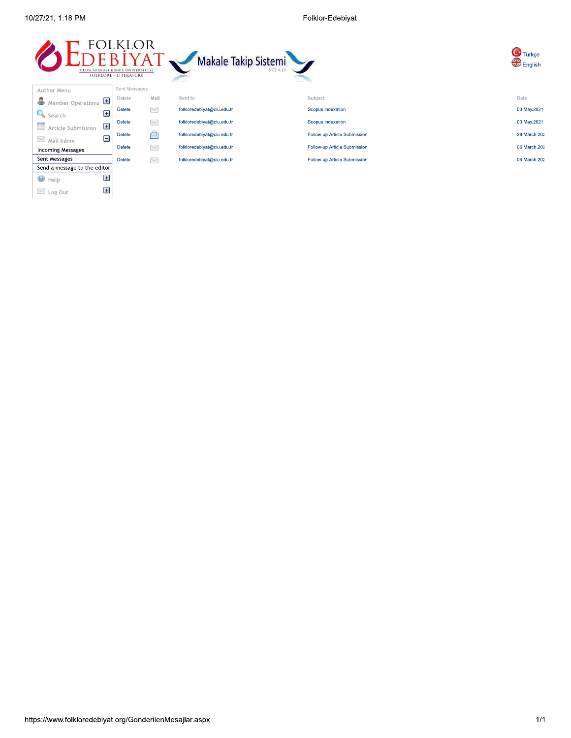$\bigcirc$  Help

 $\geq$  Log Out

Ŧ

E

Folklor-Edebiyat



| Subject                      | Date           |
|------------------------------|----------------|
| Scopus indexation            | 03. May . 2021 |
| Scopus indexation            | 03. May . 2021 |
| Follow-up Article Submission | 28. March. 202 |
| Follow-up Article Submission | 06. March. 202 |
| Follow-up Article Submission | 06. March. 202 |

Türkçe

**English**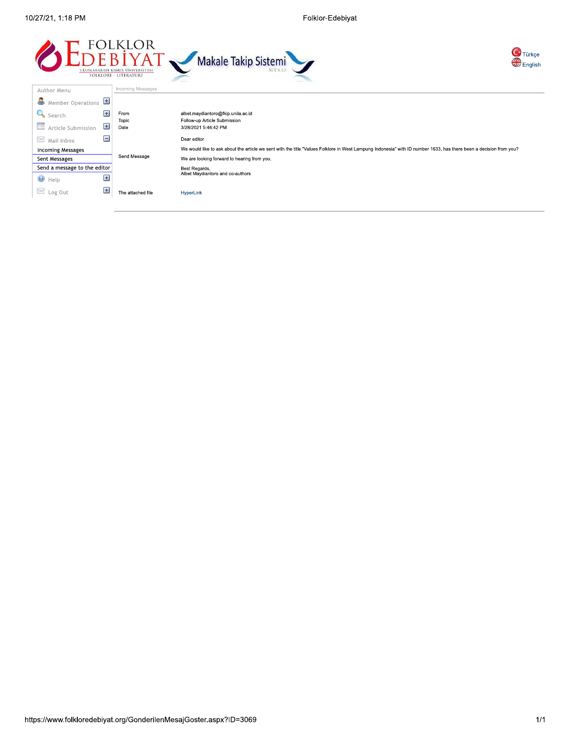Folklor-Edebiyat





| Author Menu                  | <b>ILICOLLIILIU IVIUSSAUUS</b> |                                                                                                                                                                    |  |  |  |
|------------------------------|--------------------------------|--------------------------------------------------------------------------------------------------------------------------------------------------------------------|--|--|--|
| æ.<br>Member Operations      | 田                              |                                                                                                                                                                    |  |  |  |
| Search                       | Ξ<br>From                      | albet.maydiantoro@fkip.unila.ac.id                                                                                                                                 |  |  |  |
| <b>Exercise</b> Submission   | Topic<br>$\pm$<br>Date         | Follow-up Article Submission<br>3/28/2021 5:46:42 PM                                                                                                               |  |  |  |
| $\geq$ Mail Inbox            | Ξ                              | Dear editor                                                                                                                                                        |  |  |  |
| <b>Incoming Messages</b>     |                                | We would like to ask about the article we sent with the title "Values Folklore in West Lampung Indonesia" with ID number 1633, has there been a decision from you? |  |  |  |
| Sent Messages                | Send Message                   | We are looking forward to hearing from you.                                                                                                                        |  |  |  |
| Send a message to the editor |                                | Best Regards,                                                                                                                                                      |  |  |  |
| $\bullet$ Help               | $\pm$                          | Albet Maydiantoro and co-authors                                                                                                                                   |  |  |  |
| Log Out                      | 囲<br>The attached file         | HyperLink                                                                                                                                                          |  |  |  |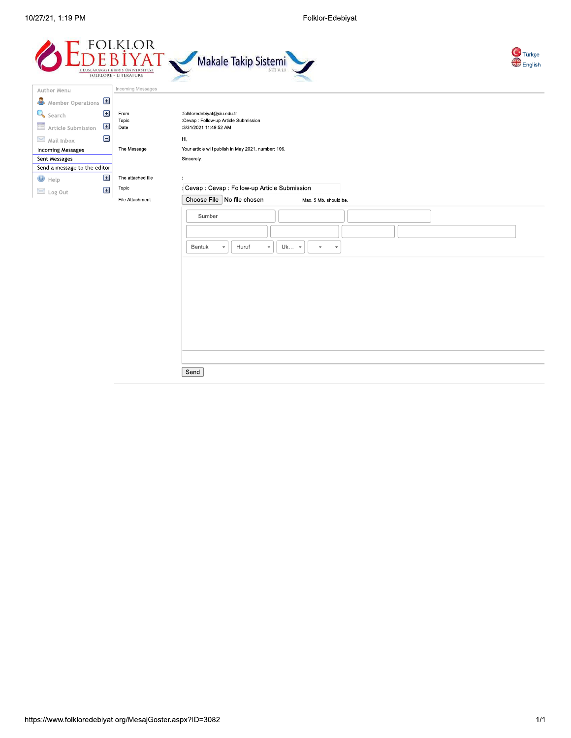



| Member Operations            |       |                   |                                                                 |
|------------------------------|-------|-------------------|-----------------------------------------------------------------|
| Search                       | Ŧ     | From              | :folkloredebiyat@ciu.edu.tr                                     |
|                              | $\pm$ | Topic             | :Cevap : Follow-up Article Submission                           |
| <b>Article Submission</b>    |       | Date              | :3/31/2021 11:49:52 AM                                          |
| $\mathbb Z$ Mail Inbox       | Ξ     |                   | Hi,                                                             |
| <b>Incoming Messages</b>     |       | The Message       | Your article will publish in May 2021, number: 106.             |
| Sent Messages                |       |                   | Sincerely.                                                      |
| Send a message to the editor |       |                   |                                                                 |
| $\Theta$ Help                | $\pm$ | The attached file | ÷                                                               |
| $\geq$ Log Out               | $\pm$ | Topic             | : Cevap : Cevap : Follow-up Article Submission                  |
|                              |       | File Attachment   | Choose File   No file chosen<br>Max. 5 Mb. should be.           |
|                              |       |                   |                                                                 |
|                              |       |                   | Sumber                                                          |
|                              |       |                   |                                                                 |
|                              |       |                   |                                                                 |
|                              |       |                   | Huruf<br>Uk -<br>Bentuk<br>$\mathbf{v}$<br>$\mathbf{v}$<br>$\;$ |
|                              |       |                   |                                                                 |
|                              |       |                   |                                                                 |
|                              |       |                   |                                                                 |
|                              |       |                   |                                                                 |
|                              |       |                   |                                                                 |
|                              |       |                   |                                                                 |
|                              |       |                   |                                                                 |
|                              |       |                   |                                                                 |
|                              |       |                   |                                                                 |
|                              |       |                   |                                                                 |
|                              |       |                   |                                                                 |

Send